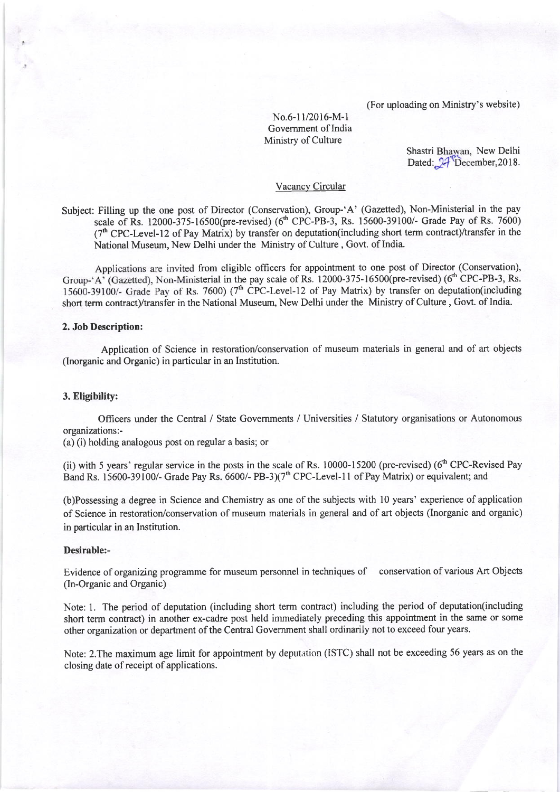(For uploading on Ministry's website)

No.6-11/2016-M-l Government of India Ministry of Culture

Shastri Bhawan, New Delhi Dated:  $24$ <sup>T</sup>December, 2018.

# Vacancy Circular

Subject: Filling up the one post of Director (Conservation), Group-'A' (Gazetted), Non-Ministerial in the pay scale of Rs. 12000-375-16500(pre-revised) (6<sup>th</sup> CPC-PB-3, Rs. 15600-39100/- Grade Pay of Rs. 7600) (7<sup>th</sup> CPC-Level-12 of Pay Matrix) by transfer on deputation(including short term contract)/transfer in the National Museum, New Delhi under the Ministry of Culture, Govt. of India.

Applications are invited from eligible officers for appointment to one post of Director (Conservation), Group-'A' (Gazetted), Non-Ministerial in the pay scale of Rs. 12000-375-16500(pre-revised) (6<sup>th</sup> CPC-PB-3, Rs. 15600-39100/- Grade Pay of Rs. 7600) ( $7<sup>th</sup>$  CPC-Level-12 of Pay Matrix) by transfer on deputation(including short term contract)/transfer in the National Museum, New Delhi under the Ministry of Culture , Govt. of India.

## 2. Job Description:

Application of Science in restoration/conservation of museum materials in general and of art objects (Inorganic and Organic) in particular in an Institution.

### 3. Eligibility:

Officers under the Central / State Govemments / Universities / Statutory organisations or Autonomous organizations:-

(a) (i) holding analogous post on regular a basis; or

(ii) with 5 years' regular service in the posts in the scale of Rs.  $10000-15200$  (pre-revised) ( $6<sup>th</sup>$  CPC-Revised Pay Band Rs. 15600-39100/- Grade Pay Rs. 6600/- PB-3)( $7<sup>th</sup>$  CPC-Level-11 of Pay Matrix) or equivalent; and

(b)Possessing a degree in Science and Chemistry as one of the subjects with l0 years' experience of application of Science in restoration/conservation of museum materials in general and of art objects (Inorganic and organic) in particular in an Institution.

## Desirable:-

Evidence of organizing programme for museum personnel in techniques of conservation of various Art Objects (In-Organic and Organic)

Note: 1. The period of deputation (including short term contract) including the period of deputation(including short term contract) in another ex-cadre post held immediately preceding this appointment in the same or some other organization or department of the Central Government shall ordinarily not to exceed four years.

Note: 2.The maximum age limit for appointment by deputation (ISTC) shall not be exceeding 56 years as on the closing date of receipt of applications.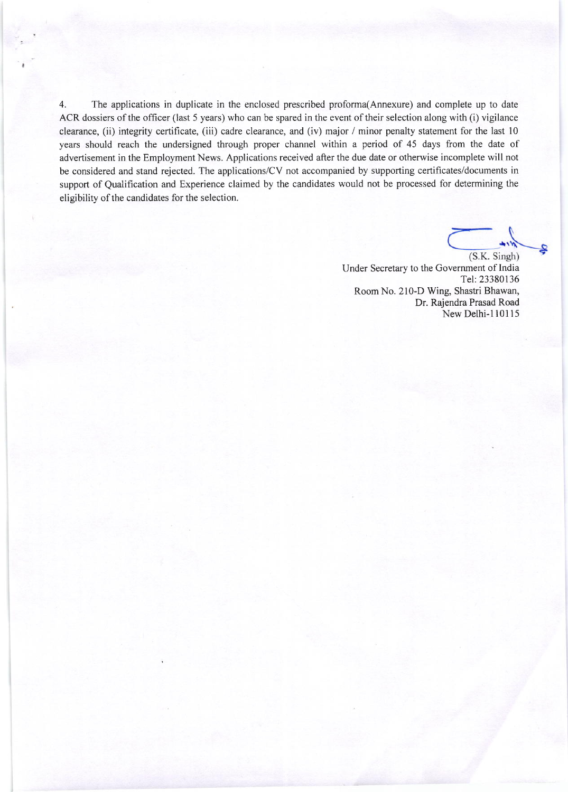4. The applications in duplicate in the enclosed prescribed proforma(Annexure) and complete up to date ACR dossiers of the officer (last 5 years) who can be spared in the event of their selection along with (i) vigilance clearance, (ii) integrity certificate, (iii) cadre clearance, and (iv) major / minor penalty statement for the last l0 years should reach the undersigned through proper channel within a period of 45 days from the date of advertisement in the Employment News. Applications received after the due date or otherwise incomplete will not be considered and stand rejected. The applications/CV not accompanied by supporting certificates/documents in support of Qualification and Experience claimed by the candidates would not be processed for determining the eligibility of the candidates for the selection.

(S.K. Singh) Under Secretary to the Government of India Tel:23380136 Room No. 210-D Wing, Shastri Bhawan, Dr. Rajendra Prasad Road New Delhi-l10115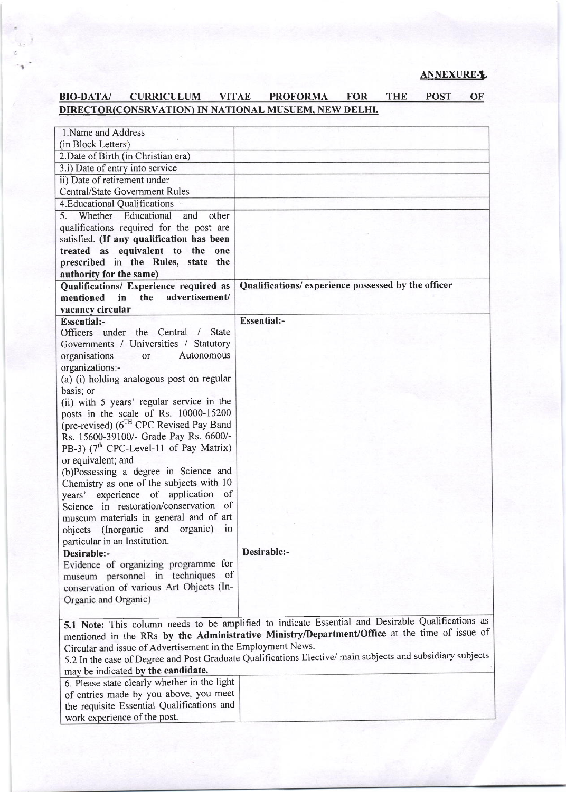# BIO-DATA/ CURRICULUM VITAE PROFORMA FOR THE POST OF DIRECTOR(CONSRVATION) IN NATIONAL MUSUEM, NEW DELHI.

| 1. Name and Address                                                        |                                                                                                            |
|----------------------------------------------------------------------------|------------------------------------------------------------------------------------------------------------|
| (in Block Letters)                                                         |                                                                                                            |
| 2. Date of Birth (in Christian era)                                        |                                                                                                            |
| 3.i) Date of entry into service                                            |                                                                                                            |
| ii) Date of retirement under                                               |                                                                                                            |
| <b>Central/State Government Rules</b>                                      |                                                                                                            |
| 4. Educational Qualifications                                              |                                                                                                            |
| Whether Educational<br>and<br>other<br>5.                                  |                                                                                                            |
| qualifications required for the post are                                   |                                                                                                            |
| satisfied. (If any qualification has been                                  |                                                                                                            |
| treated as equivalent to the one                                           |                                                                                                            |
| prescribed in the Rules, state the                                         |                                                                                                            |
| authority for the same)                                                    |                                                                                                            |
| Qualifications/ Experience required as                                     | Qualifications/experience possessed by the officer                                                         |
| the advertisement/<br>mentioned<br>$\mathbf{in}$                           |                                                                                                            |
| vacancy circular                                                           |                                                                                                            |
| <b>Essential:-</b>                                                         | <b>Essential:-</b>                                                                                         |
| Officers under the Central /<br><b>State</b>                               |                                                                                                            |
| Governments / Universities / Statutory                                     |                                                                                                            |
| organisations<br>Autonomous<br>or                                          |                                                                                                            |
| organizations:-                                                            |                                                                                                            |
| (a) (i) holding analogous post on regular                                  |                                                                                                            |
| basis; or                                                                  |                                                                                                            |
| (ii) with 5 years' regular service in the                                  |                                                                                                            |
| posts in the scale of Rs. 10000-15200                                      |                                                                                                            |
| (pre-revised) (6TH CPC Revised Pay Band                                    |                                                                                                            |
| Rs. 15600-39100/- Grade Pay Rs. 6600/-                                     |                                                                                                            |
| PB-3) $(7th$ CPC-Level-11 of Pay Matrix)                                   |                                                                                                            |
| or equivalent; and                                                         |                                                                                                            |
| (b)Possessing a degree in Science and                                      |                                                                                                            |
| Chemistry as one of the subjects with 10<br>of                             |                                                                                                            |
| years' experience of application<br>Science in restoration/conservation of |                                                                                                            |
|                                                                            |                                                                                                            |
| museum materials in general and of art<br>organic)                         |                                                                                                            |
| objects (Inorganic and<br>$\ln$                                            |                                                                                                            |
| particular in an Institution.                                              | Desirable:-                                                                                                |
| Desirable:-<br>Evidence of organizing programme for                        |                                                                                                            |
| museum personnel in techniques of                                          |                                                                                                            |
| conservation of various Art Objects (In-                                   |                                                                                                            |
| Organic and Organic)                                                       |                                                                                                            |
|                                                                            |                                                                                                            |
|                                                                            | 5.1 Note: This column needs to be amplified to indicate Essential and Desirable Qualifications as          |
|                                                                            | mentioned in the RRs by the Administrative Ministry/Department/Office at the time of issue of              |
| Circular and issue of Advertisement in the Employment News.                |                                                                                                            |
|                                                                            | 5.2 In the case of Degree and Post Graduate Qualifications Elective/ main subjects and subsidiary subjects |
| may be indicated by the candidate.                                         |                                                                                                            |
| 6. Please state clearly whether in the light                               |                                                                                                            |
| of entries made by you above, you meet                                     |                                                                                                            |
| the requisite Essential Qualifications and                                 |                                                                                                            |
| work experience of the post.                                               |                                                                                                            |
|                                                                            |                                                                                                            |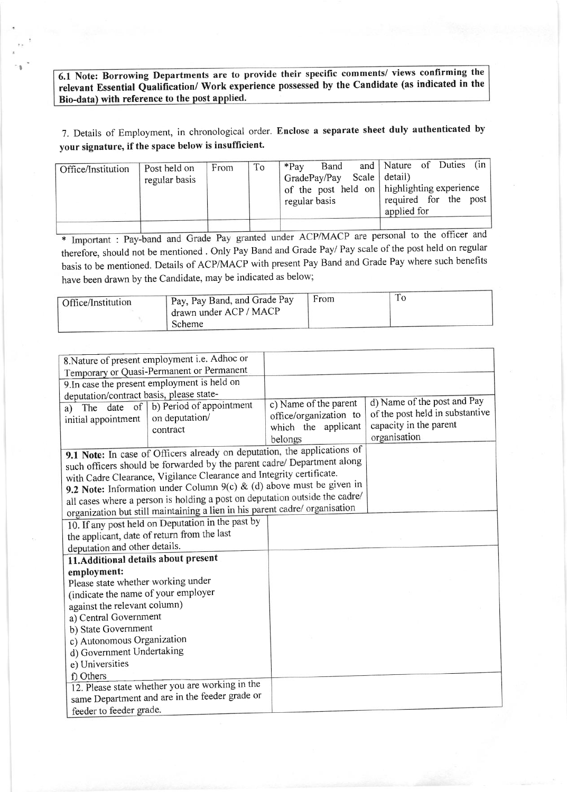6.1 Note: Borrowing Departments are to provide their specific comments/ views confirming the relevant Essential Qualification/ Work experience possessed by the Candidate (as indicated in the Bio-data) with reference to the post a

I

7. Details of Employment, in chronological order. Enclose a separate sheet duly authenticated by your signature, if the space below is insufficient.

| Office/Institution | Post held on<br>regular basis | From | To | $*Pav$<br>regular basis | Band<br>GradePay/Pay Scale detail) | and Nature of Duties (in<br>$\sigma$ of the post held on   highlighting experience<br>required for the post<br>applied for |  |  |
|--------------------|-------------------------------|------|----|-------------------------|------------------------------------|----------------------------------------------------------------------------------------------------------------------------|--|--|
|                    |                               |      |    |                         |                                    |                                                                                                                            |  |  |

\* Important : Pay-band and Grade Pay granted under ACP/MACP are personal to the officer and therefore, should not be mentioned . Only Pay Band and Grade Pay/ Pay scale of the post held on regular basis to be mentioned. Details of ACP/MACP with present Pay Band and Grade Pay where such benefits have been drawn by the Candidate, may be indicated as below;

|                    |                              | From |  |
|--------------------|------------------------------|------|--|
| Office/Institution | Pay, Pay Band, and Grade Pay |      |  |
|                    | drawn under ACP / MACP       |      |  |
|                    | <b>Scheme</b>                |      |  |

| 8. Nature of present employment i.e. Adhoc or |                                                                             |                        |                                 |
|-----------------------------------------------|-----------------------------------------------------------------------------|------------------------|---------------------------------|
| Temporary or Quasi-Permanent or Permanent     |                                                                             |                        |                                 |
| 9. In case the present employment is held on  |                                                                             |                        |                                 |
| deputation/contract basis, please state-      |                                                                             |                        |                                 |
|                                               | a) The date of $\vert$ b) Period of appointment                             | c) Name of the parent  | d) Name of the post and Pay     |
| initial appointment                           | on deputation/                                                              | office/organization to | of the post held in substantive |
|                                               | contract                                                                    | which the applicant    | capacity in the parent          |
|                                               |                                                                             | belongs                | organisation                    |
|                                               | 9.1 Note: In case of Officers already on deputation, the applications of    |                        |                                 |
|                                               | such officers should be forwarded by the parent cadre/ Department along     |                        |                                 |
|                                               | with Cadre Clearance, Vigilance Clearance and Integrity certificate.        |                        |                                 |
|                                               | 9.2 Note: Information under Column 9(c) & (d) above must be given in        |                        |                                 |
|                                               | all cases where a person is holding a post on deputation outside the cadre/ |                        |                                 |
|                                               | organization but still maintaining a lien in his parent cadre/ organisation |                        |                                 |
|                                               | 10. If any post held on Deputation in the past by                           |                        |                                 |
| the applicant, date of return from the last   |                                                                             |                        |                                 |
| deputation and other details.                 |                                                                             |                        |                                 |
| 11. Additional details about present          |                                                                             |                        |                                 |
| employment:                                   |                                                                             |                        |                                 |
| Please state whether working under            |                                                                             |                        |                                 |
| (indicate the name of your employer           |                                                                             |                        |                                 |
| against the relevant column)                  |                                                                             |                        |                                 |
| a) Central Government                         |                                                                             |                        |                                 |
| b) State Government                           |                                                                             |                        |                                 |
| c) Autonomous Organization                    |                                                                             |                        |                                 |
| d) Government Undertaking                     |                                                                             |                        |                                 |
| e) Universities                               |                                                                             |                        |                                 |
| f) Others                                     |                                                                             |                        |                                 |
|                                               | 12. Please state whether you are working in the                             |                        |                                 |
|                                               | same Department and are in the feeder grade or                              |                        |                                 |
| feeder to feeder grade.                       |                                                                             |                        |                                 |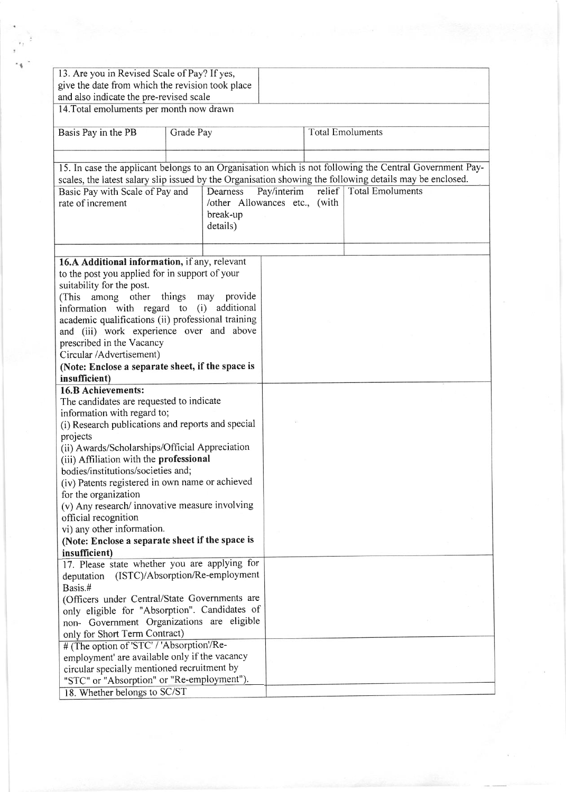| 13. Are you in Revised Scale of Pay? If yes,<br>give the date from which the revision took place         |           |                |             |                         |  |  |
|----------------------------------------------------------------------------------------------------------|-----------|----------------|-------------|-------------------------|--|--|
| and also indicate the pre-revised scale                                                                  |           |                |             |                         |  |  |
| 14. Total emoluments per month now drawn                                                                 |           |                |             |                         |  |  |
| Basis Pay in the PB                                                                                      | Grade Pay |                |             | <b>Total Emoluments</b> |  |  |
|                                                                                                          |           |                |             |                         |  |  |
|                                                                                                          |           |                |             |                         |  |  |
| 15. In case the applicant belongs to an Organisation which is not following the Central Government Pay-  |           |                |             |                         |  |  |
| scales, the latest salary slip issued by the Organisation showing the following details may be enclosed. |           |                |             |                         |  |  |
| Basic Pay with Scale of Pay and                                                                          |           | Dearness       | Pay/interim | relief Total Emoluments |  |  |
| rate of increment<br>/other Allowances etc., (with<br>break-up<br>details)                               |           |                |             |                         |  |  |
|                                                                                                          |           |                |             |                         |  |  |
| 16.A Additional information, if any, relevant                                                            |           |                |             |                         |  |  |
| to the post you applied for in support of your                                                           |           |                |             |                         |  |  |
| suitability for the post.                                                                                |           |                |             |                         |  |  |
| among other<br>(This                                                                                     | things    | provide<br>may |             |                         |  |  |
| information with regard to (i) additional                                                                |           |                |             |                         |  |  |
| academic qualifications (ii) professional training                                                       |           |                |             |                         |  |  |
| and (iii) work experience over and above                                                                 |           |                |             |                         |  |  |
| prescribed in the Vacancy                                                                                |           |                |             |                         |  |  |
| Circular /Advertisement)                                                                                 |           |                |             |                         |  |  |
| (Note: Enclose a separate sheet, if the space is                                                         |           |                |             |                         |  |  |
| insufficient)                                                                                            |           |                |             |                         |  |  |
| <b>16.B Achievements:</b>                                                                                |           |                |             |                         |  |  |
| The candidates are requested to indicate<br>information with regard to;                                  |           |                |             |                         |  |  |
| (i) Research publications and reports and special                                                        |           |                |             |                         |  |  |
| projects                                                                                                 |           |                |             |                         |  |  |
| (ii) Awards/Scholarships/Official Appreciation                                                           |           |                |             |                         |  |  |
| (iii) Affiliation with the professional                                                                  |           |                |             |                         |  |  |
| bodies/institutions/societies and;                                                                       |           |                |             |                         |  |  |
| (iv) Patents registered in own name or achieved                                                          |           |                |             |                         |  |  |
| for the organization                                                                                     |           |                |             |                         |  |  |
| (v) Any research/ innovative measure involving                                                           |           |                |             |                         |  |  |
| official recognition                                                                                     |           |                |             |                         |  |  |
| vi) any other information.                                                                               |           |                |             |                         |  |  |
| (Note: Enclose a separate sheet if the space is                                                          |           |                |             |                         |  |  |
| insufficient)                                                                                            |           |                |             |                         |  |  |
| 17. Please state whether you are applying for                                                            |           |                |             |                         |  |  |
| (ISTC)/Absorption/Re-employment<br>deputation                                                            |           |                |             |                         |  |  |
| Basis.#                                                                                                  |           |                |             |                         |  |  |
| (Officers under Central/State Governments are<br>only eligible for "Absorption". Candidates of           |           |                |             |                         |  |  |
| non- Government Organizations are eligible                                                               |           |                |             |                         |  |  |
| only for Short Term Contract)                                                                            |           |                |             |                         |  |  |
| # (The option of 'STC' / 'Absorption'/Re-                                                                |           |                |             |                         |  |  |
| employment' are available only if the vacancy                                                            |           |                |             |                         |  |  |
| circular specially mentioned recruitment by                                                              |           |                |             |                         |  |  |
| "STC" or "Absorption" or "Re-employment").                                                               |           |                |             |                         |  |  |
| 18. Whether belongs to SC/ST                                                                             |           |                |             |                         |  |  |

I